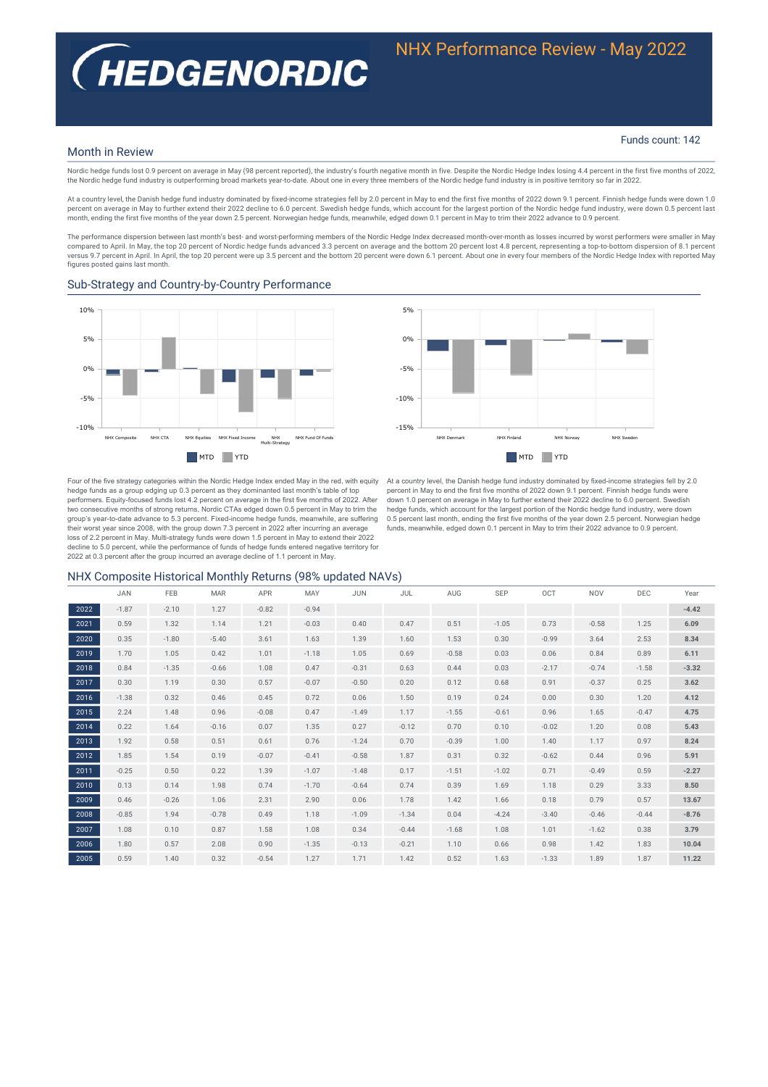# **(HEDGENORDIC**

#### Funds count: 142

#### Month in Review

Nordic hedge funds lost 0.9 percent on average in May (98 percent reported), the industry's fourth negative month in five. Despite the Nordic Hedge Index losing 4.4 percent in the first five months of 2022, the Nordic hedge fund industry is outperforming broad markets year-to-date. About one in every three members of the Nordic hedge fund industry is in positive territory so far in 2022.

At a country level, the Danish hedge fund industry dominated by fixed-income strategies fell by 2.0 percent in May to end the first five months of 2022 down 9.1 percent. Finnish hedge funds were down 1.0 percent on average in May to further extend their 2022 decline to 6.0 percent. Swedish hedge funds, which account for the largest portion of the Nordic hedge fund industry, were down 0.5 percent last month, ending the first five months of the year down 2.5 percent. Norwegian hedge funds, meanwhile, edged down 0.1 percent in May to trim their 2022 advance to 0.9 percent.

The performance dispersion between last month's best- and worst-performing members of the Nordic Hedge Index decreased month-over-month as losses incurred by worst performers were smaller in May compared to April. In May, the top 20 percent of Nordic hedge funds advanced 3.3 percent on average and the bottom 20 percent lost 4.8 percent, representing a top-to-bottom dispersion of 8.1 percent versus 9.7 percent in April. In April, the top 20 percent were up 3.5 percent and the bottom 20 percent were down 6.1 percent. About one in every four members of the Nordic Hedge Index with reported May figures posted gains last month.

#### Sub-Strategy and Country-by-Country Performance



NHX Denmark NHX Finland NHX Norway NHX Sweden  $-15%$  $-10<sup>o</sup>$ 5%  $0%$ 5% **MTD** YTD

Four of the five strategy categories within the Nordic Hedge Index ended May in the red, with equity hedge funds as a group edging up 0.3 percent as they dominanted last month's table of top performers. Equity-focused funds lost 4.2 percent on average in the first five months of 2022. After two consecutive months of strong returns, Nordic CTAs edged down 0.5 percent in May to trim the<br>group's year-to-date advance to 5.3 percent. Fixed-income hedge funds, meanwhile, are suffering their worst year since 2008, with the group down 7.3 percent in 2022 after incurring an average loss of 2.2 percent in May. Multi-strategy funds were down 1.5 percent in May to extend their 2022 decline to 5.0 percent, while the performance of funds of hedge funds entered negative territory for 2022 at 0.3 percent after the group incurred an average decline of 1.1 percent in May.

At a country level, the Danish hedge fund industry dominated by fixed-income strategies fell by 2.0<br>percent in May to end the first five months of 2022 down 9.1 percent. Finnish hedge funds were down 1.0 percent on average in May to further extend their 2022 decline to 6.0 percent. Swedish hedge funds, which account for the largest portion of the Nordic hedge fund industry, were down 0.5 percent last month, ending the first five months of the year down 2.5 percent. Norwegian hedge funds, meanwhile, edged down 0.1 percent in May to trim their 2022 advance to 0.9 percent.

### NHX Composite Historical Monthly Returns (98% updated NAVs)

|      | <b>JAN</b> | FEB     | <b>MAR</b> | <b>APR</b> | MAY     | <b>JUN</b> | JUL     | AUG     | SEP     | OCT     | <b>NOV</b> | DEC     | Year    |
|------|------------|---------|------------|------------|---------|------------|---------|---------|---------|---------|------------|---------|---------|
| 2022 | $-1.87$    | $-2.10$ | 1.27       | $-0.82$    | $-0.94$ |            |         |         |         |         |            |         | $-4.42$ |
| 2021 | 0.59       | 1.32    | 1.14       | 1.21       | $-0.03$ | 0.40       | 0.47    | 0.51    | $-1.05$ | 0.73    | $-0.58$    | 1.25    | 6.09    |
| 2020 | 0.35       | $-1.80$ | $-5.40$    | 3.61       | 1.63    | 1.39       | 1.60    | 1.53    | 0.30    | $-0.99$ | 3.64       | 2.53    | 8.34    |
| 2019 | 1.70       | 1.05    | 0.42       | 1.01       | $-1.18$ | 1.05       | 0.69    | $-0.58$ | 0.03    | 0.06    | 0.84       | 0.89    | 6.11    |
| 2018 | 0.84       | $-1.35$ | $-0.66$    | 1.08       | 0.47    | $-0.31$    | 0.63    | 0.44    | 0.03    | $-2.17$ | $-0.74$    | $-1.58$ | $-3.32$ |
| 2017 | 0.30       | 1.19    | 0.30       | 0.57       | $-0.07$ | $-0.50$    | 0.20    | 0.12    | 0.68    | 0.91    | $-0.37$    | 0.25    | 3.62    |
| 2016 | $-1.38$    | 0.32    | 0.46       | 0.45       | 0.72    | 0.06       | 1.50    | 0.19    | 0.24    | 0.00    | 0.30       | 1.20    | 4.12    |
| 2015 | 2.24       | 1.48    | 0.96       | $-0.08$    | 0.47    | $-1.49$    | 1.17    | $-1.55$ | $-0.61$ | 0.96    | 1.65       | $-0.47$ | 4.75    |
| 2014 | 0.22       | 1.64    | $-0.16$    | 0.07       | 1.35    | 0.27       | $-0.12$ | 0.70    | 0.10    | $-0.02$ | 1.20       | 0.08    | 5.43    |
| 2013 | 1.92       | 0.58    | 0.51       | 0.61       | 0.76    | $-1.24$    | 0.70    | $-0.39$ | 1.00    | 1.40    | 1.17       | 0.97    | 8.24    |
| 2012 | 1.85       | 1.54    | 0.19       | $-0.07$    | $-0.41$ | $-0.58$    | 1.87    | 0.31    | 0.32    | $-0.62$ | 0.44       | 0.96    | 5.91    |
| 2011 | $-0.25$    | 0.50    | 0.22       | 1.39       | $-1.07$ | $-1.48$    | 0.17    | $-1.51$ | $-1.02$ | 0.71    | $-0.49$    | 0.59    | $-2.27$ |
| 2010 | 0.13       | 0.14    | 1.98       | 0.74       | $-1.70$ | $-0.64$    | 0.74    | 0.39    | 1.69    | 1.18    | 0.29       | 3.33    | 8.50    |
| 2009 | 0.46       | $-0.26$ | 1.06       | 2.31       | 2.90    | 0.06       | 1.78    | 1.42    | 1.66    | 0.18    | 0.79       | 0.57    | 13.67   |
| 2008 | $-0.85$    | 1.94    | $-0.78$    | 0.49       | 1.18    | $-1.09$    | $-1.34$ | 0.04    | $-4.24$ | $-3.40$ | $-0.46$    | $-0.44$ | $-8.76$ |
| 2007 | 1.08       | 0.10    | 0.87       | 1.58       | 1.08    | 0.34       | $-0.44$ | $-1.68$ | 1.08    | 1.01    | $-1.62$    | 0.38    | 3.79    |
| 2006 | 1.80       | 0.57    | 2.08       | 0.90       | $-1.35$ | $-0.13$    | $-0.21$ | 1.10    | 0.66    | 0.98    | 1.42       | 1.83    | 10.04   |
| 2005 | 0.59       | 1.40    | 0.32       | $-0.54$    | 1.27    | 1.71       | 1.42    | 0.52    | 1.63    | $-1.33$ | 1.89       | 1.87    | 11.22   |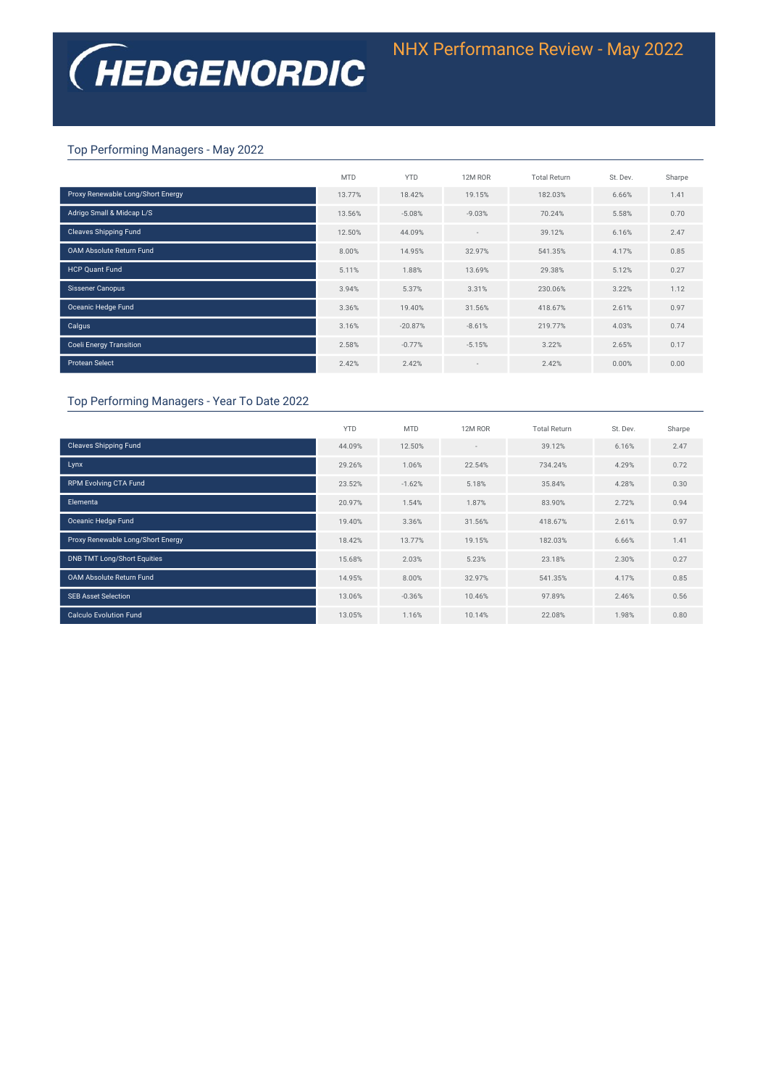# Top Performing Managers - May 2022

|                                   | <b>MTD</b> | <b>YTD</b> | 12M ROR                  | <b>Total Return</b> | St. Dev. | Sharpe |
|-----------------------------------|------------|------------|--------------------------|---------------------|----------|--------|
| Proxy Renewable Long/Short Energy | 13.77%     | 18.42%     | 19.15%                   | 182.03%             | 6.66%    | 1.41   |
| Adrigo Small & Midcap L/S         | 13.56%     | $-5.08%$   | $-9.03%$                 | 70.24%              | 5.58%    | 0.70   |
| <b>Cleaves Shipping Fund</b>      | 12.50%     | 44.09%     | $\overline{\phantom{a}}$ | 39.12%              | 6.16%    | 2.47   |
| <b>OAM Absolute Return Fund</b>   | 8.00%      | 14.95%     | 32.97%                   | 541.35%             | 4.17%    | 0.85   |
| <b>HCP Quant Fund</b>             | 5.11%      | 1.88%      | 13.69%                   | 29.38%              | 5.12%    | 0.27   |
| Sissener Canopus                  | 3.94%      | 5.37%      | 3.31%                    | 230.06%             | 3.22%    | 1.12   |
| Oceanic Hedge Fund                | 3.36%      | 19.40%     | 31.56%                   | 418.67%             | 2.61%    | 0.97   |
| Calgus                            | 3.16%      | $-20.87%$  | $-8.61%$                 | 219.77%             | 4.03%    | 0.74   |
| <b>Coeli Energy Transition</b>    | 2.58%      | $-0.77%$   | $-5.15%$                 | 3.22%               | 2.65%    | 0.17   |
| <b>Protean Select</b>             | 2.42%      | 2.42%      | $\overline{\phantom{a}}$ | 2.42%               | 0.00%    | 0.00   |

## Top Performing Managers - Year To Date 2022

|                                    | <b>YTD</b> | <b>MTD</b> | 12M ROR                  | <b>Total Return</b> | St. Dev. | Sharpe |
|------------------------------------|------------|------------|--------------------------|---------------------|----------|--------|
| <b>Cleaves Shipping Fund</b>       | 44.09%     | 12.50%     | $\overline{\phantom{a}}$ | 39.12%              | 6.16%    | 2.47   |
| Lynx                               | 29.26%     | 1.06%      | 22.54%                   | 734.24%             | 4.29%    | 0.72   |
| <b>RPM Evolving CTA Fund</b>       | 23.52%     | $-1.62%$   | 5.18%                    | 35.84%              | 4.28%    | 0.30   |
| Elementa                           | 20.97%     | 1.54%      | 1.87%                    | 83.90%              | 2.72%    | 0.94   |
| Oceanic Hedge Fund                 | 19.40%     | 3.36%      | 31.56%                   | 418.67%             | 2.61%    | 0.97   |
| Proxy Renewable Long/Short Energy  | 18.42%     | 13.77%     | 19.15%                   | 182.03%             | 6.66%    | 1.41   |
| <b>DNB TMT Long/Short Equities</b> | 15.68%     | 2.03%      | 5.23%                    | 23.18%              | 2.30%    | 0.27   |
| <b>OAM Absolute Return Fund</b>    | 14.95%     | 8.00%      | 32.97%                   | 541.35%             | 4.17%    | 0.85   |
| <b>SEB Asset Selection</b>         | 13.06%     | $-0.36%$   | 10.46%                   | 97.89%              | 2.46%    | 0.56   |
| <b>Calculo Evolution Fund</b>      | 13.05%     | 1.16%      | 10.14%                   | 22.08%              | 1.98%    | 0.80   |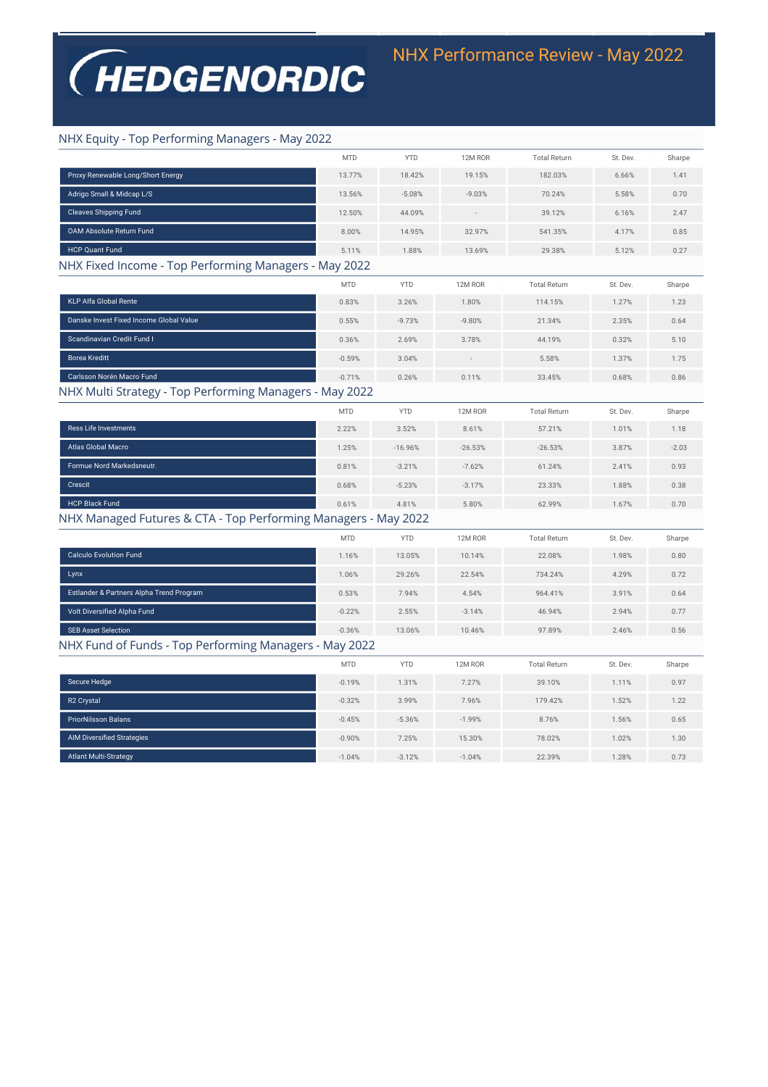# **(HEDGENORDIC**

# NHX Equity - Top Performing Managers - May 2022

| Proxy Renewable Long/Short Energy<br>13.77%<br>18.42%<br>19.15%<br>182.03%<br>6.66%<br>1.41<br>Adrigo Small & Midcap L/S<br>13.56%<br>$-5.08%$<br>$-9.03%$<br>70.24%<br>5.58%<br>0.70<br><b>Cleaves Shipping Fund</b><br>12.50%<br>44.09%<br>39.12%<br>2.47<br>6.16%<br><b>OAM Absolute Return Fund</b><br>8.00%<br>14.95%<br>32.97%<br>541.35%<br>4.17%<br>0.85<br><b>HCP Quant Fund</b><br>5.11%<br>0.27<br>1.88%<br>13.69%<br>29.38%<br>5.12%<br>NHX Fixed Income - Top Performing Managers - May 2022<br><b>MTD</b><br><b>YTD</b><br>12M ROR<br><b>Total Return</b><br>St. Dev.<br>Sharpe<br>KLP Alfa Global Rente<br>0.83%<br>3.26%<br>1.80%<br>114.15%<br>1.27%<br>1.23<br>Danske Invest Fixed Income Global Value<br>$-9.73%$<br>$-9.80%$<br>0.55%<br>21.34%<br>2.35%<br>0.64<br>Scandinavian Credit Fund I<br>0.36%<br>2.69%<br>3.78%<br>44.19%<br>0.32%<br>5.10<br><b>Borea Kreditt</b><br>$-0.59%$<br>3.04%<br>5.58%<br>1.37%<br>1.75<br>Carlsson Norén Macro Fund<br>$-0.71%$<br>0.26%<br>0.11%<br>33.45%<br>0.68%<br>0.86<br>NHX Multi Strategy - Top Performing Managers - May 2022<br><b>MTD</b><br><b>YTD</b><br>12M ROR<br><b>Total Return</b><br>St. Dev.<br>Sharpe<br><b>Ress Life Investments</b><br>2.22%<br>3.52%<br>8.61%<br>57.21%<br>1.01%<br>1.18<br>Atlas Global Macro<br>$-26.53%$<br>1.25%<br>$-16.96%$<br>$-26.53%$<br>3.87%<br>$-2.03$<br>Formue Nord Markedsneutr.<br>0.81%<br>$-3.21%$<br>$-7.62%$<br>61.24%<br>2.41%<br>0.93<br><b>Crescit</b><br>0.68%<br>$-5.23%$<br>$-3.17%$<br>23.33%<br>1.88%<br>0.38<br><b>HCP Black Fund</b><br>0.61%<br>4.81%<br>5.80%<br>62.99%<br>0.70<br>1.67%<br>NHX Managed Futures & CTA - Top Performing Managers - May 2022<br><b>MTD</b><br><b>YTD</b><br>12M ROR<br><b>Total Return</b><br>St. Dev.<br>Sharpe<br><b>Calculo Evolution Fund</b><br>1.16%<br>13.05%<br>10.14%<br>22.08%<br>1.98%<br>0.80<br>Lynx<br>29.26%<br>22.54%<br>734.24%<br>4.29%<br>1.06%<br>0.72<br>Estlander & Partners Alpha Trend Program<br>964.41%<br>0.53%<br>7.94%<br>4.54%<br>3.91%<br>0.64<br>Volt Diversified Alpha Fund<br>$-0.22%$<br>2.55%<br>$-3.14%$<br>46.94%<br>2.94%<br>0.77<br><b>SEB Asset Selection</b><br>$-0.36%$<br>13.06%<br>10.46%<br>97.89%<br>2.46%<br>0.56<br>NHX Fund of Funds - Top Performing Managers - May 2022<br><b>MTD</b><br><b>YTD</b><br>12M ROR<br><b>Total Return</b><br>St. Dev.<br>Sharpe<br>Secure Hedge<br>$-0.19%$<br>1.31%<br>7.27%<br>39.10%<br>0.97<br>1.11%<br>R <sub>2</sub> Crystal<br>3.99%<br>$-0.32%$<br>7.96%<br>179.42%<br>1.52%<br>1.22<br><b>PriorNilsson Balans</b><br>$-0.45%$<br>$-1.99%$<br>8.76%<br>$-5.36%$<br>1.56%<br>0.65<br><b>AIM Diversified Strategies</b><br>$-0.90%$<br>78.02%<br>1.02%<br>7.25%<br>15.30%<br>1.30<br><b>Atlant Multi-Strategy</b><br>22.39%<br>0.73<br>$-1.04%$<br>$-3.12%$<br>$-1.04%$<br>1.28% | <b>MTD</b> | <b>YTD</b> | 12M ROR | <b>Total Return</b> | St. Dev. | Sharpe |
|----------------------------------------------------------------------------------------------------------------------------------------------------------------------------------------------------------------------------------------------------------------------------------------------------------------------------------------------------------------------------------------------------------------------------------------------------------------------------------------------------------------------------------------------------------------------------------------------------------------------------------------------------------------------------------------------------------------------------------------------------------------------------------------------------------------------------------------------------------------------------------------------------------------------------------------------------------------------------------------------------------------------------------------------------------------------------------------------------------------------------------------------------------------------------------------------------------------------------------------------------------------------------------------------------------------------------------------------------------------------------------------------------------------------------------------------------------------------------------------------------------------------------------------------------------------------------------------------------------------------------------------------------------------------------------------------------------------------------------------------------------------------------------------------------------------------------------------------------------------------------------------------------------------------------------------------------------------------------------------------------------------------------------------------------------------------------------------------------------------------------------------------------------------------------------------------------------------------------------------------------------------------------------------------------------------------------------------------------------------------------------------------------------------------------------------------------------------------------------------------------------------------------------------------------------------------------------------------------------------------------------------------------------------------------------------------------------------------------------------------------------------------------------------------------------------------------------------|------------|------------|---------|---------------------|----------|--------|
|                                                                                                                                                                                                                                                                                                                                                                                                                                                                                                                                                                                                                                                                                                                                                                                                                                                                                                                                                                                                                                                                                                                                                                                                                                                                                                                                                                                                                                                                                                                                                                                                                                                                                                                                                                                                                                                                                                                                                                                                                                                                                                                                                                                                                                                                                                                                                                                                                                                                                                                                                                                                                                                                                                                                                                                                                                        |            |            |         |                     |          |        |
|                                                                                                                                                                                                                                                                                                                                                                                                                                                                                                                                                                                                                                                                                                                                                                                                                                                                                                                                                                                                                                                                                                                                                                                                                                                                                                                                                                                                                                                                                                                                                                                                                                                                                                                                                                                                                                                                                                                                                                                                                                                                                                                                                                                                                                                                                                                                                                                                                                                                                                                                                                                                                                                                                                                                                                                                                                        |            |            |         |                     |          |        |
|                                                                                                                                                                                                                                                                                                                                                                                                                                                                                                                                                                                                                                                                                                                                                                                                                                                                                                                                                                                                                                                                                                                                                                                                                                                                                                                                                                                                                                                                                                                                                                                                                                                                                                                                                                                                                                                                                                                                                                                                                                                                                                                                                                                                                                                                                                                                                                                                                                                                                                                                                                                                                                                                                                                                                                                                                                        |            |            |         |                     |          |        |
|                                                                                                                                                                                                                                                                                                                                                                                                                                                                                                                                                                                                                                                                                                                                                                                                                                                                                                                                                                                                                                                                                                                                                                                                                                                                                                                                                                                                                                                                                                                                                                                                                                                                                                                                                                                                                                                                                                                                                                                                                                                                                                                                                                                                                                                                                                                                                                                                                                                                                                                                                                                                                                                                                                                                                                                                                                        |            |            |         |                     |          |        |
|                                                                                                                                                                                                                                                                                                                                                                                                                                                                                                                                                                                                                                                                                                                                                                                                                                                                                                                                                                                                                                                                                                                                                                                                                                                                                                                                                                                                                                                                                                                                                                                                                                                                                                                                                                                                                                                                                                                                                                                                                                                                                                                                                                                                                                                                                                                                                                                                                                                                                                                                                                                                                                                                                                                                                                                                                                        |            |            |         |                     |          |        |
|                                                                                                                                                                                                                                                                                                                                                                                                                                                                                                                                                                                                                                                                                                                                                                                                                                                                                                                                                                                                                                                                                                                                                                                                                                                                                                                                                                                                                                                                                                                                                                                                                                                                                                                                                                                                                                                                                                                                                                                                                                                                                                                                                                                                                                                                                                                                                                                                                                                                                                                                                                                                                                                                                                                                                                                                                                        |            |            |         |                     |          |        |
|                                                                                                                                                                                                                                                                                                                                                                                                                                                                                                                                                                                                                                                                                                                                                                                                                                                                                                                                                                                                                                                                                                                                                                                                                                                                                                                                                                                                                                                                                                                                                                                                                                                                                                                                                                                                                                                                                                                                                                                                                                                                                                                                                                                                                                                                                                                                                                                                                                                                                                                                                                                                                                                                                                                                                                                                                                        |            |            |         |                     |          |        |
|                                                                                                                                                                                                                                                                                                                                                                                                                                                                                                                                                                                                                                                                                                                                                                                                                                                                                                                                                                                                                                                                                                                                                                                                                                                                                                                                                                                                                                                                                                                                                                                                                                                                                                                                                                                                                                                                                                                                                                                                                                                                                                                                                                                                                                                                                                                                                                                                                                                                                                                                                                                                                                                                                                                                                                                                                                        |            |            |         |                     |          |        |
|                                                                                                                                                                                                                                                                                                                                                                                                                                                                                                                                                                                                                                                                                                                                                                                                                                                                                                                                                                                                                                                                                                                                                                                                                                                                                                                                                                                                                                                                                                                                                                                                                                                                                                                                                                                                                                                                                                                                                                                                                                                                                                                                                                                                                                                                                                                                                                                                                                                                                                                                                                                                                                                                                                                                                                                                                                        |            |            |         |                     |          |        |
|                                                                                                                                                                                                                                                                                                                                                                                                                                                                                                                                                                                                                                                                                                                                                                                                                                                                                                                                                                                                                                                                                                                                                                                                                                                                                                                                                                                                                                                                                                                                                                                                                                                                                                                                                                                                                                                                                                                                                                                                                                                                                                                                                                                                                                                                                                                                                                                                                                                                                                                                                                                                                                                                                                                                                                                                                                        |            |            |         |                     |          |        |
|                                                                                                                                                                                                                                                                                                                                                                                                                                                                                                                                                                                                                                                                                                                                                                                                                                                                                                                                                                                                                                                                                                                                                                                                                                                                                                                                                                                                                                                                                                                                                                                                                                                                                                                                                                                                                                                                                                                                                                                                                                                                                                                                                                                                                                                                                                                                                                                                                                                                                                                                                                                                                                                                                                                                                                                                                                        |            |            |         |                     |          |        |
|                                                                                                                                                                                                                                                                                                                                                                                                                                                                                                                                                                                                                                                                                                                                                                                                                                                                                                                                                                                                                                                                                                                                                                                                                                                                                                                                                                                                                                                                                                                                                                                                                                                                                                                                                                                                                                                                                                                                                                                                                                                                                                                                                                                                                                                                                                                                                                                                                                                                                                                                                                                                                                                                                                                                                                                                                                        |            |            |         |                     |          |        |
|                                                                                                                                                                                                                                                                                                                                                                                                                                                                                                                                                                                                                                                                                                                                                                                                                                                                                                                                                                                                                                                                                                                                                                                                                                                                                                                                                                                                                                                                                                                                                                                                                                                                                                                                                                                                                                                                                                                                                                                                                                                                                                                                                                                                                                                                                                                                                                                                                                                                                                                                                                                                                                                                                                                                                                                                                                        |            |            |         |                     |          |        |
|                                                                                                                                                                                                                                                                                                                                                                                                                                                                                                                                                                                                                                                                                                                                                                                                                                                                                                                                                                                                                                                                                                                                                                                                                                                                                                                                                                                                                                                                                                                                                                                                                                                                                                                                                                                                                                                                                                                                                                                                                                                                                                                                                                                                                                                                                                                                                                                                                                                                                                                                                                                                                                                                                                                                                                                                                                        |            |            |         |                     |          |        |
|                                                                                                                                                                                                                                                                                                                                                                                                                                                                                                                                                                                                                                                                                                                                                                                                                                                                                                                                                                                                                                                                                                                                                                                                                                                                                                                                                                                                                                                                                                                                                                                                                                                                                                                                                                                                                                                                                                                                                                                                                                                                                                                                                                                                                                                                                                                                                                                                                                                                                                                                                                                                                                                                                                                                                                                                                                        |            |            |         |                     |          |        |
|                                                                                                                                                                                                                                                                                                                                                                                                                                                                                                                                                                                                                                                                                                                                                                                                                                                                                                                                                                                                                                                                                                                                                                                                                                                                                                                                                                                                                                                                                                                                                                                                                                                                                                                                                                                                                                                                                                                                                                                                                                                                                                                                                                                                                                                                                                                                                                                                                                                                                                                                                                                                                                                                                                                                                                                                                                        |            |            |         |                     |          |        |
|                                                                                                                                                                                                                                                                                                                                                                                                                                                                                                                                                                                                                                                                                                                                                                                                                                                                                                                                                                                                                                                                                                                                                                                                                                                                                                                                                                                                                                                                                                                                                                                                                                                                                                                                                                                                                                                                                                                                                                                                                                                                                                                                                                                                                                                                                                                                                                                                                                                                                                                                                                                                                                                                                                                                                                                                                                        |            |            |         |                     |          |        |
|                                                                                                                                                                                                                                                                                                                                                                                                                                                                                                                                                                                                                                                                                                                                                                                                                                                                                                                                                                                                                                                                                                                                                                                                                                                                                                                                                                                                                                                                                                                                                                                                                                                                                                                                                                                                                                                                                                                                                                                                                                                                                                                                                                                                                                                                                                                                                                                                                                                                                                                                                                                                                                                                                                                                                                                                                                        |            |            |         |                     |          |        |
|                                                                                                                                                                                                                                                                                                                                                                                                                                                                                                                                                                                                                                                                                                                                                                                                                                                                                                                                                                                                                                                                                                                                                                                                                                                                                                                                                                                                                                                                                                                                                                                                                                                                                                                                                                                                                                                                                                                                                                                                                                                                                                                                                                                                                                                                                                                                                                                                                                                                                                                                                                                                                                                                                                                                                                                                                                        |            |            |         |                     |          |        |
|                                                                                                                                                                                                                                                                                                                                                                                                                                                                                                                                                                                                                                                                                                                                                                                                                                                                                                                                                                                                                                                                                                                                                                                                                                                                                                                                                                                                                                                                                                                                                                                                                                                                                                                                                                                                                                                                                                                                                                                                                                                                                                                                                                                                                                                                                                                                                                                                                                                                                                                                                                                                                                                                                                                                                                                                                                        |            |            |         |                     |          |        |
|                                                                                                                                                                                                                                                                                                                                                                                                                                                                                                                                                                                                                                                                                                                                                                                                                                                                                                                                                                                                                                                                                                                                                                                                                                                                                                                                                                                                                                                                                                                                                                                                                                                                                                                                                                                                                                                                                                                                                                                                                                                                                                                                                                                                                                                                                                                                                                                                                                                                                                                                                                                                                                                                                                                                                                                                                                        |            |            |         |                     |          |        |
|                                                                                                                                                                                                                                                                                                                                                                                                                                                                                                                                                                                                                                                                                                                                                                                                                                                                                                                                                                                                                                                                                                                                                                                                                                                                                                                                                                                                                                                                                                                                                                                                                                                                                                                                                                                                                                                                                                                                                                                                                                                                                                                                                                                                                                                                                                                                                                                                                                                                                                                                                                                                                                                                                                                                                                                                                                        |            |            |         |                     |          |        |
|                                                                                                                                                                                                                                                                                                                                                                                                                                                                                                                                                                                                                                                                                                                                                                                                                                                                                                                                                                                                                                                                                                                                                                                                                                                                                                                                                                                                                                                                                                                                                                                                                                                                                                                                                                                                                                                                                                                                                                                                                                                                                                                                                                                                                                                                                                                                                                                                                                                                                                                                                                                                                                                                                                                                                                                                                                        |            |            |         |                     |          |        |
|                                                                                                                                                                                                                                                                                                                                                                                                                                                                                                                                                                                                                                                                                                                                                                                                                                                                                                                                                                                                                                                                                                                                                                                                                                                                                                                                                                                                                                                                                                                                                                                                                                                                                                                                                                                                                                                                                                                                                                                                                                                                                                                                                                                                                                                                                                                                                                                                                                                                                                                                                                                                                                                                                                                                                                                                                                        |            |            |         |                     |          |        |
|                                                                                                                                                                                                                                                                                                                                                                                                                                                                                                                                                                                                                                                                                                                                                                                                                                                                                                                                                                                                                                                                                                                                                                                                                                                                                                                                                                                                                                                                                                                                                                                                                                                                                                                                                                                                                                                                                                                                                                                                                                                                                                                                                                                                                                                                                                                                                                                                                                                                                                                                                                                                                                                                                                                                                                                                                                        |            |            |         |                     |          |        |
|                                                                                                                                                                                                                                                                                                                                                                                                                                                                                                                                                                                                                                                                                                                                                                                                                                                                                                                                                                                                                                                                                                                                                                                                                                                                                                                                                                                                                                                                                                                                                                                                                                                                                                                                                                                                                                                                                                                                                                                                                                                                                                                                                                                                                                                                                                                                                                                                                                                                                                                                                                                                                                                                                                                                                                                                                                        |            |            |         |                     |          |        |
|                                                                                                                                                                                                                                                                                                                                                                                                                                                                                                                                                                                                                                                                                                                                                                                                                                                                                                                                                                                                                                                                                                                                                                                                                                                                                                                                                                                                                                                                                                                                                                                                                                                                                                                                                                                                                                                                                                                                                                                                                                                                                                                                                                                                                                                                                                                                                                                                                                                                                                                                                                                                                                                                                                                                                                                                                                        |            |            |         |                     |          |        |
|                                                                                                                                                                                                                                                                                                                                                                                                                                                                                                                                                                                                                                                                                                                                                                                                                                                                                                                                                                                                                                                                                                                                                                                                                                                                                                                                                                                                                                                                                                                                                                                                                                                                                                                                                                                                                                                                                                                                                                                                                                                                                                                                                                                                                                                                                                                                                                                                                                                                                                                                                                                                                                                                                                                                                                                                                                        |            |            |         |                     |          |        |
|                                                                                                                                                                                                                                                                                                                                                                                                                                                                                                                                                                                                                                                                                                                                                                                                                                                                                                                                                                                                                                                                                                                                                                                                                                                                                                                                                                                                                                                                                                                                                                                                                                                                                                                                                                                                                                                                                                                                                                                                                                                                                                                                                                                                                                                                                                                                                                                                                                                                                                                                                                                                                                                                                                                                                                                                                                        |            |            |         |                     |          |        |
|                                                                                                                                                                                                                                                                                                                                                                                                                                                                                                                                                                                                                                                                                                                                                                                                                                                                                                                                                                                                                                                                                                                                                                                                                                                                                                                                                                                                                                                                                                                                                                                                                                                                                                                                                                                                                                                                                                                                                                                                                                                                                                                                                                                                                                                                                                                                                                                                                                                                                                                                                                                                                                                                                                                                                                                                                                        |            |            |         |                     |          |        |
|                                                                                                                                                                                                                                                                                                                                                                                                                                                                                                                                                                                                                                                                                                                                                                                                                                                                                                                                                                                                                                                                                                                                                                                                                                                                                                                                                                                                                                                                                                                                                                                                                                                                                                                                                                                                                                                                                                                                                                                                                                                                                                                                                                                                                                                                                                                                                                                                                                                                                                                                                                                                                                                                                                                                                                                                                                        |            |            |         |                     |          |        |
|                                                                                                                                                                                                                                                                                                                                                                                                                                                                                                                                                                                                                                                                                                                                                                                                                                                                                                                                                                                                                                                                                                                                                                                                                                                                                                                                                                                                                                                                                                                                                                                                                                                                                                                                                                                                                                                                                                                                                                                                                                                                                                                                                                                                                                                                                                                                                                                                                                                                                                                                                                                                                                                                                                                                                                                                                                        |            |            |         |                     |          |        |
|                                                                                                                                                                                                                                                                                                                                                                                                                                                                                                                                                                                                                                                                                                                                                                                                                                                                                                                                                                                                                                                                                                                                                                                                                                                                                                                                                                                                                                                                                                                                                                                                                                                                                                                                                                                                                                                                                                                                                                                                                                                                                                                                                                                                                                                                                                                                                                                                                                                                                                                                                                                                                                                                                                                                                                                                                                        |            |            |         |                     |          |        |